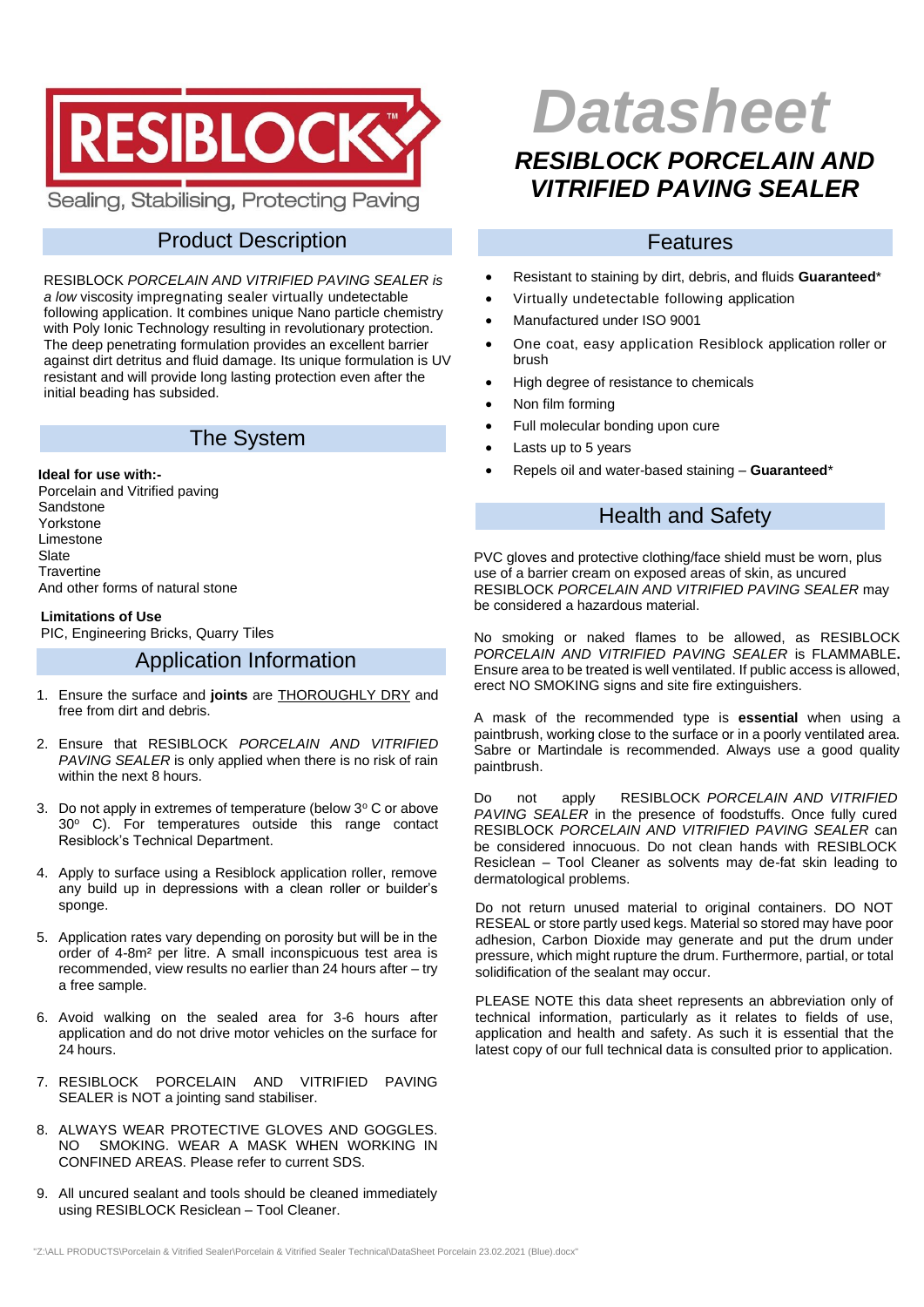

## Product Description

RESIBLOCK *PORCELAIN AND VITRIFIED PAVING SEALER is a low* viscosity impregnating sealer virtually undetectable following application. It combines unique Nano particle chemistry with Poly Ionic Technology resulting in revolutionary protection. The deep penetrating formulation provides an excellent barrier against dirt detritus and fluid damage. Its unique formulation is UV resistant and will provide long lasting protection even after the initial beading has subsided.

### The System

### **Ideal for use with:-**

 Porcelain and Vitrified paving Sandstone Yorkstone Limestone Slate **Travertine** And other forms of natural stone

### **Limitations of Use**

PIC, Engineering Bricks, Quarry Tiles

### Application Information

- 1. Ensure the surface and **joints** are THOROUGHLY DRY and free from dirt and debris.
- 2. Ensure that RESIBLOCK *PORCELAIN AND VITRIFIED PAVING SEALER* is only applied when there is no risk of rain within the next 8 hours.
- 3. Do not apply in extremes of temperature (below  $3^{\circ}$  C or above 30° C). For temperatures outside this range contact Resiblock's Technical Department.
- 4. Apply to surface using a Resiblock application roller, remove any build up in depressions with a clean roller or builder's sponge.
- 5. Application rates vary depending on porosity but will be in the order of 4-8m² per litre. A small inconspicuous test area is recommended, view results no earlier than 24 hours after – try a free sample.
- 6. Avoid walking on the sealed area for 3-6 hours after application and do not drive motor vehicles on the surface for 24 hours.
- 7. RESIBLOCK PORCELAIN AND VITRIFIED PAVING SEALER is NOT a jointing sand stabiliser.
- 8. ALWAYS WEAR PROTECTIVE GLOVES AND GOGGLES. NO SMOKING. WEAR A MASK WHEN WORKING IN CONFINED AREAS. Please refer to current SDS.
- 9. All uncured sealant and tools should be cleaned immediately using RESIBLOCK Resiclean – Tool Cleaner.

# *Datasheet*

# *RESIBLOCK PORCELAIN AND VITRIFIED PAVING SEALER*

### Features

- Resistant to staining by dirt, debris, and fluids **Guaranteed**\*
- Virtually undetectable following application
- Manufactured under ISO 9001
- One coat, easy application Resiblock application roller or brush
- High degree of resistance to chemicals
- Non film forming
- Full molecular bonding upon cure
- Lasts up to 5 years
- Repels oil and water-based staining **Guaranteed**\*

## Health and Safety

PVC gloves and protective clothing/face shield must be worn, plus use of a barrier cream on exposed areas of skin, as uncured RESIBLOCK *PORCELAIN AND VITRIFIED PAVING SEALER* may be considered a hazardous material.

No smoking or naked flames to be allowed, as RESIBLOCK *PORCELAIN AND VITRIFIED PAVING SEALER* is FLAMMABLE**.**  Ensure area to be treated is well ventilated. If public access is allowed, erect NO SMOKING signs and site fire extinguishers.

A mask of the recommended type is **essential** when using a paintbrush, working close to the surface or in a poorly ventilated area. Sabre or Martindale is recommended. Always use a good quality paintbrush.

Do not apply RESIBLOCK *PORCELAIN AND VITRIFIED PAVING SEALER* in the presence of foodstuffs. Once fully cured RESIBLOCK *PORCELAIN AND VITRIFIED PAVING SEALER* can be considered innocuous. Do not clean hands with RESIBLOCK Resiclean – Tool Cleaner as solvents may de-fat skin leading to dermatological problems.

Do not return unused material to original containers. DO NOT RESEAL or store partly used kegs. Material so stored may have poor adhesion, Carbon Dioxide may generate and put the drum under pressure, which might rupture the drum. Furthermore, partial, or total solidification of the sealant may occur.

PLEASE NOTE this data sheet represents an abbreviation only of technical information, particularly as it relates to fields of use, application and health and safety. As such it is essential that the latest copy of our full technical data is consulted prior to application.